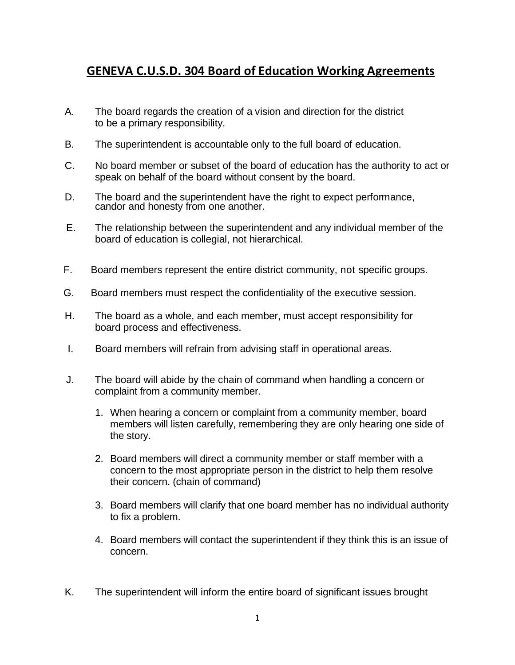## **GENEVA C.U.S.D. 304 Board of Education Working Agreements**

- A. The board regards the creation of a vision and direction for the district to be a primary responsibility.
- B. The superintendent is accountable only to the full board of education.
- C. No board member or subset of the board of education has the authority to act or speak on behalf of the board without consent by the board.
- D. The board and the superintendent have the right to expect performance, candor and honesty from one another.
- E. The relationship between the superintendent and any individual member of the board of education is collegial, not hierarchical.
- F. Board members represent the entire district community, not specific groups.
- G. Board members must respect the confidentiality of the executive session.
- H. The board as a whole, and each member, must accept responsibility for board process and effectiveness.
- I. Board members will refrain from advising staff in operational areas.
- J. The board will abide by the chain of command when handling a concern or complaint from a community member.
	- 1. When hearing a concern or complaint from a community member, board members will listen carefully, remembering they are only hearing one side of the story.
	- 2. Board members will direct a community member or staff member with a concern to the most appropriate person in the district to help them resolve their concern. (chain of command)
	- 3. Board members will clarify that one board member has no individual authority to fix a problem.
	- 4. Board members will contact the superintendent if they think this is an issue of concern.
- K. The superintendent will inform the entire board of significant issues brought